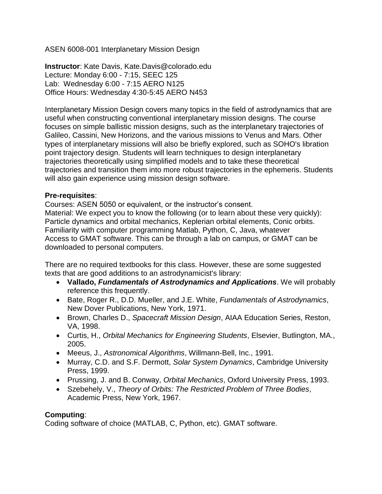ASEN 6008-001 Interplanetary Mission Design

**Instructor**: Kate Davis, Kate.Davis@colorado.edu Lecture: Monday 6:00 - 7:15, SEEC 125 Lab: Wednesday 6:00 - 7:15 AERO N125 Office Hours: Wednesday 4:30-5:45 AERO N453

Interplanetary Mission Design covers many topics in the field of astrodynamics that are useful when constructing conventional interplanetary mission designs. The course focuses on simple ballistic mission designs, such as the interplanetary trajectories of Galileo, Cassini, New Horizons, and the various missions to Venus and Mars. Other types of interplanetary missions will also be briefly explored, such as SOHO's libration point trajectory design. Students will learn techniques to design interplanetary trajectories theoretically using simplified models and to take these theoretical trajectories and transition them into more robust trajectories in the ephemeris. Students will also gain experience using mission design software.

#### **Pre-requisites**:

Courses: ASEN 5050 or equivalent, or the instructor's consent. Material: We expect you to know the following (or to learn about these very quickly): Particle dynamics and orbital mechanics, Keplerian orbital elements, Conic orbits. Familiarity with computer programming Matlab, Python, C, Java, whatever Access to GMAT software. This can be through a lab on campus, or GMAT can be downloaded to personal computers.

There are no required textbooks for this class. However, these are some suggested texts that are good additions to an astrodynamicist's library:

- **Vallado,** *Fundamentals of Astrodynamics and Applications*. We will probably reference this frequently.
- Bate, Roger R., D.D. Mueller, and J.E. White, *Fundamentals of Astrodynamics*, New Dover Publications, New York, 1971.
- **Brown, Charles D., Spacecraft Mission Design, AIAA Education Series, Reston, 6** VA, 1998.
- Curtis, H., *Orbital Mechanics for Engineering Students*, Elsevier, Butlington, MA., 2005.
- Meeus, J., *Astronomical Algorithms*, Willmann-Bell, Inc., 1991.
- Murray, C.D. and S.F. Dermott, *Solar System Dynamics*, Cambridge University Press, 1999.
- Prussing, J. and B. Conway, *Orbital Mechanics*, Oxford University Press, 1993.
- Szebehely, V., *Theory of Orbits: The Restricted Problem of Three Bodies*, Academic Press, New York, 1967.

## **Computing**:

Coding software of choice (MATLAB, C, Python, etc). GMAT software.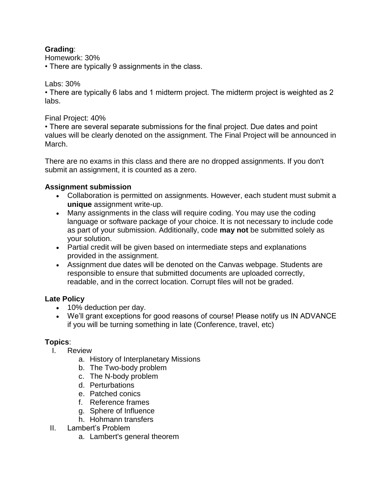#### **Grading**:

Homework: 30%

• There are typically 9 assignments in the class.

#### Labs: 30%

• There are typically 6 labs and 1 midterm project. The midterm project is weighted as 2 labs.

#### Final Project: 40%

• There are several separate submissions for the final project. Due dates and point values will be clearly denoted on the assignment. The Final Project will be announced in March.

There are no exams in this class and there are no dropped assignments. If you don't submit an assignment, it is counted as a zero.

## **Assignment submission**

- Collaboration is permitted on assignments. However, each student must submit a **unique** assignment write-up.
- Many assignments in the class will require coding. You may use the coding language or software package of your choice. It is not necessary to include code as part of your submission. Additionally, code **may not** be submitted solely as your solution.
- Partial credit will be given based on intermediate steps and explanations provided in the assignment.
- Assignment due dates will be denoted on the Canvas webpage. Students are responsible to ensure that submitted documents are uploaded correctly, readable, and in the correct location. Corrupt files will not be graded.

## **Late Policy**

- 10% deduction per day.
- We'll grant exceptions for good reasons of course! Please notify us IN ADVANCE if you will be turning something in late (Conference, travel, etc)

## **Topics**:

- I. Review
	- a. History of Interplanetary Missions
	- b. The Two-body problem
	- c. The N-body problem
	- d. Perturbations
	- e. Patched conics
	- f. Reference frames
	- g. Sphere of Influence
	- h. Hohmann transfers
- II. Lambert's Problem
	- a. Lambert's general theorem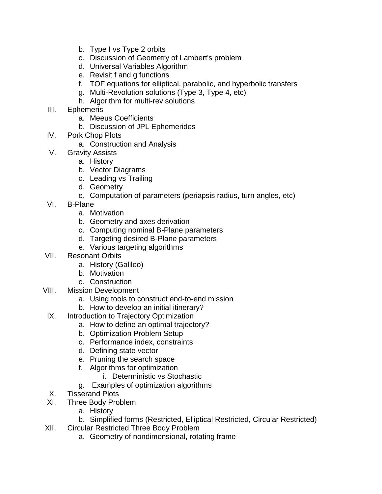- b. Type I vs Type 2 orbits
- c. Discussion of Geometry of Lambert's problem
- d. Universal Variables Algorithm
- e. Revisit f and g functions
- f. TOF equations for elliptical, parabolic, and hyperbolic transfers
- g. Multi-Revolution solutions (Type 3, Type 4, etc)
- h. Algorithm for multi-rev solutions
- III. Ephemeris
	- a. Meeus Coefficients
	- b. Discussion of JPL Ephemerides
- IV. Pork Chop Plots
	- a. Construction and Analysis
- V. Gravity Assists
	- a. History
	- b. Vector Diagrams
	- c. Leading vs Trailing
	- d. Geometry
	- e. Computation of parameters (periapsis radius, turn angles, etc)
- VI. B-Plane
	- a. Motivation
	- b. Geometry and axes derivation
	- c. Computing nominal B-Plane parameters
	- d. Targeting desired B-Plane parameters
	- e. Various targeting algorithms
- VII. Resonant Orbits
	- a. History (Galileo)
	- b. Motivation
	- c. Construction
- VIII. Mission Development
	- a. Using tools to construct end-to-end mission
	- b. How to develop an initial itinerary?
	- IX. Introduction to Trajectory Optimization
		- a. How to define an optimal trajectory?
		- b. Optimization Problem Setup
		- c. Performance index, constraints
		- d. Defining state vector
		- e. Pruning the search space
		- f. Algorithms for optimization
			- i. Deterministic vs Stochastic
		- g. Examples of optimization algorithms
	- X. Tisserand Plots
	- XI. Three Body Problem
		- a. History
		- b. Simplified forms (Restricted, Elliptical Restricted, Circular Restricted)
- XII. Circular Restricted Three Body Problem
	- a. Geometry of nondimensional, rotating frame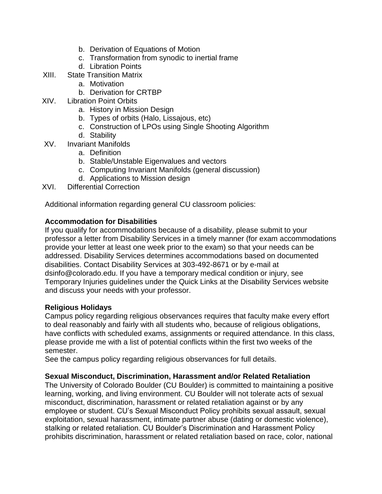- b. Derivation of Equations of Motion
- c. Transformation from synodic to inertial frame
- d. Libration Points
- XIII. State Transition Matrix
	- a. Motivation
	- b. Derivation for CRTBP
- XIV. Libration Point Orbits
	- a. History in Mission Design
	- b. Types of orbits (Halo, Lissajous, etc)
	- c. Construction of LPOs using Single Shooting Algorithm
	- d. Stability
- XV. Invariant Manifolds
	- a. Definition
	- b. Stable/Unstable Eigenvalues and vectors
	- c. Computing Invariant Manifolds (general discussion)
	- d. Applications to Mission design
- XVI. Differential Correction

Additional information regarding general CU classroom policies:

# **Accommodation for Disabilities**

If you qualify for accommodations because of a disability, please submit to your professor a letter from Disability Services in a timely manner (for exam accommodations provide your letter at least one week prior to the exam) so that your needs can be addressed. Disability Services determines accommodations based on documented disabilities. Contact Disability Services at 303-492-8671 or by e-mail at dsinfo@colorado.edu. If you have a temporary medical condition or injury, see Temporary Injuries guidelines under the Quick Links at the Disability Services website and discuss your needs with your professor.

## **Religious Holidays**

Campus policy regarding religious observances requires that faculty make every effort to deal reasonably and fairly with all students who, because of religious obligations, have conflicts with scheduled exams, assignments or required attendance. In this class, please provide me with a list of potential conflicts within the first two weeks of the semester.

See the campus policy regarding religious observances for full details.

## **Sexual Misconduct, Discrimination, Harassment and/or Related Retaliation**

The University of Colorado Boulder (CU Boulder) is committed to maintaining a positive learning, working, and living environment. CU Boulder will not tolerate acts of sexual misconduct, discrimination, harassment or related retaliation against or by any employee or student. CU's Sexual Misconduct Policy prohibits sexual assault, sexual exploitation, sexual harassment, intimate partner abuse (dating or domestic violence), stalking or related retaliation. CU Boulder's Discrimination and Harassment Policy prohibits discrimination, harassment or related retaliation based on race, color, national